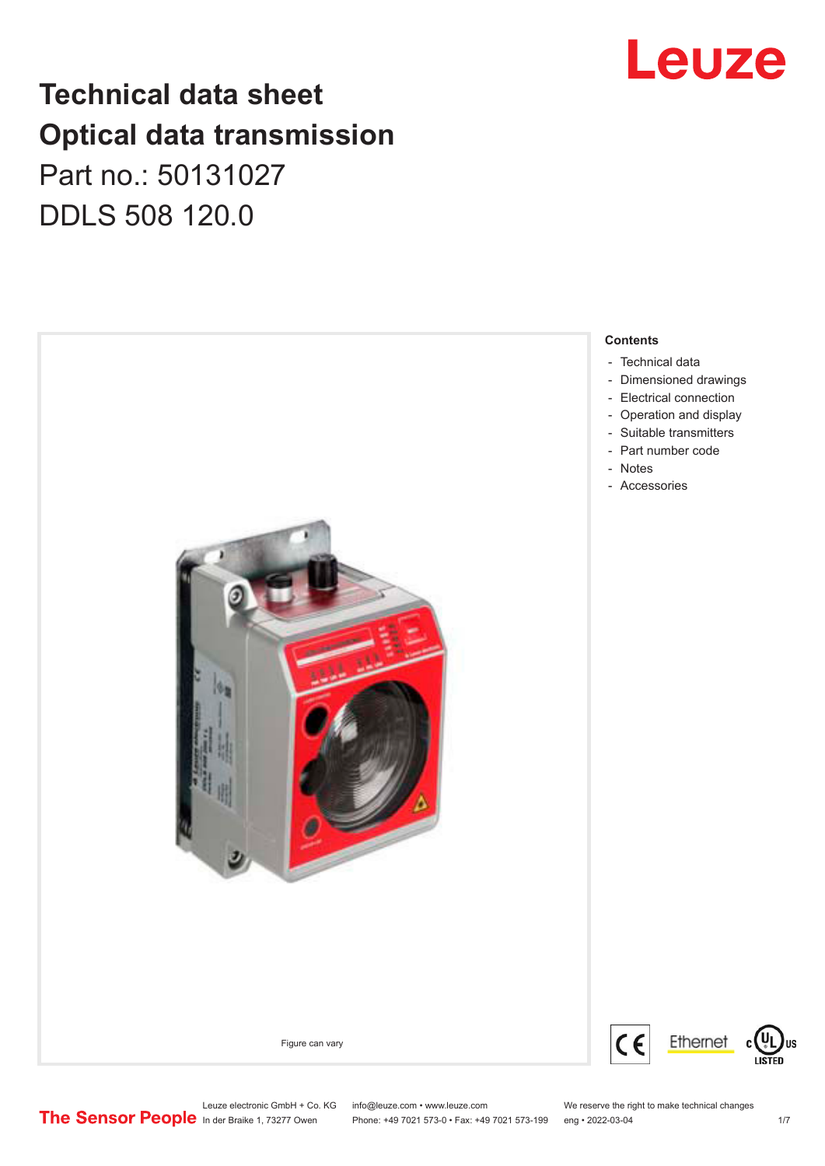# Leuze

## **Technical data sheet Optical data transmission**

Part no.: 50131027 DDLS 508 120.0



Leuze electronic GmbH + Co. KG info@leuze.com • www.leuze.com We reserve the right to make technical changes<br>
The Sensor People in der Braike 1, 73277 Owen Phone: +49 7021 573-0 • Fax: +49 7021 573-199 eng • 2022-03-04 Phone: +49 7021 573-0 • Fax: +49 7021 573-199 eng • 2022-03-04 1/7

US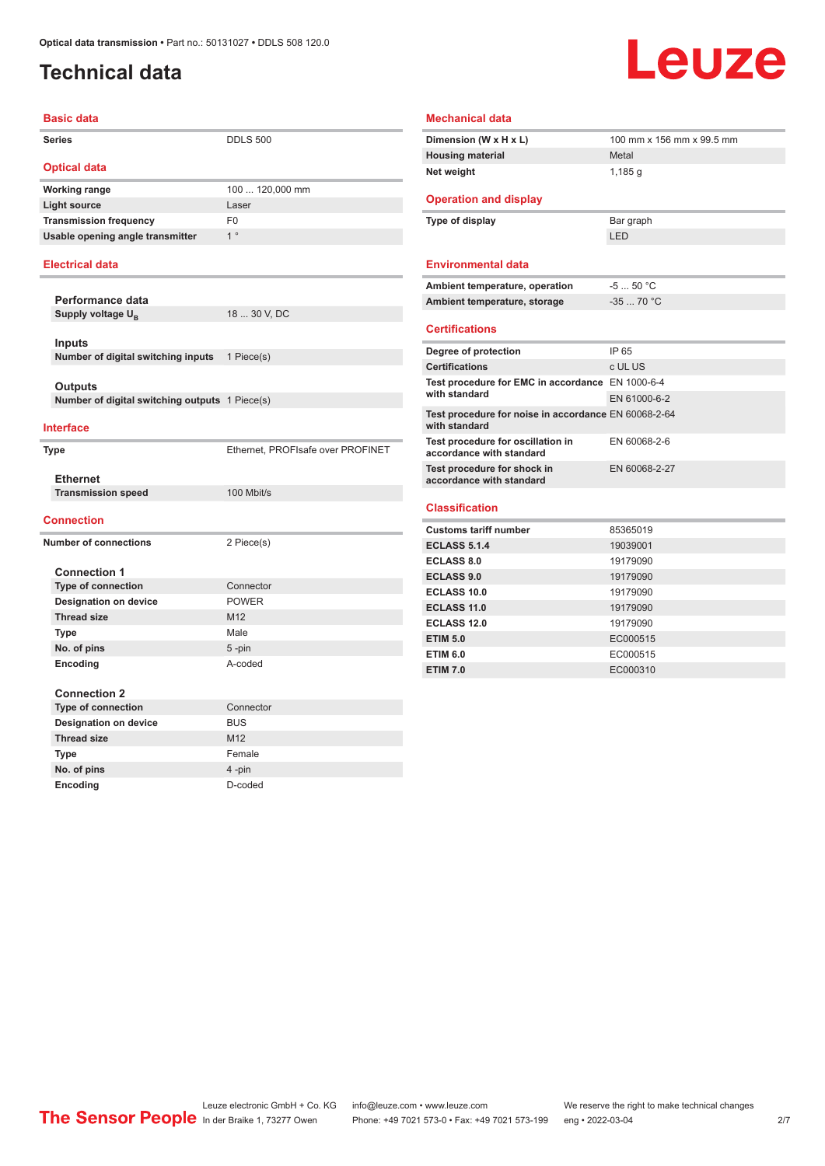## <span id="page-1-0"></span>**Technical data**

# **Leuze**

| <b>Basic data</b>                              |                                   |
|------------------------------------------------|-----------------------------------|
| <b>Series</b>                                  | <b>DDLS 500</b>                   |
| <b>Optical data</b>                            |                                   |
| <b>Working range</b>                           | 100  120,000 mm                   |
| <b>Light source</b>                            | Laser                             |
| <b>Transmission frequency</b>                  | F <sub>0</sub>                    |
| Usable opening angle transmitter               | 1 <sup>°</sup>                    |
| <b>Electrical data</b>                         |                                   |
| Performance data                               |                                   |
| Supply voltage U <sub>p</sub>                  | 18  30 V, DC                      |
|                                                |                                   |
| <b>Inputs</b>                                  |                                   |
| Number of digital switching inputs             | 1 Piece(s)                        |
| Outputs                                        |                                   |
| Number of digital switching outputs 1 Piece(s) |                                   |
|                                                |                                   |
| <b>Interface</b>                               |                                   |
| <b>Type</b>                                    | Ethernet, PROFIsafe over PROFINET |
|                                                |                                   |
| <b>Ethernet</b>                                |                                   |
| <b>Transmission speed</b>                      | 100 Mbit/s                        |
| <b>Connection</b>                              |                                   |
| <b>Number of connections</b>                   | 2 Piece(s)                        |
|                                                |                                   |
| <b>Connection 1</b>                            |                                   |
| <b>Type of connection</b>                      | Connector                         |
| <b>Designation on device</b>                   | <b>POWER</b>                      |
| <b>Thread size</b>                             | M12                               |
| Type                                           | Male                              |
| No. of pins<br>Encoding                        | $5 - pin$<br>A-coded              |
|                                                |                                   |
| <b>Connection 2</b>                            |                                   |
| <b>Type of connection</b>                      | Connector                         |
| <b>Designation on device</b>                   | <b>BUS</b>                        |
| <b>Thread size</b>                             | M <sub>12</sub>                   |
| Type                                           | Female                            |
| No. of pins                                    | 4-pin                             |
| Encoding                                       | D-coded                           |

| Dimension (W x H x L)                                                 | 100 mm x 156 mm x 99.5 mm |
|-----------------------------------------------------------------------|---------------------------|
| <b>Housing material</b>                                               | Metal                     |
| Net weight                                                            | 1,185q                    |
| <b>Operation and display</b>                                          |                           |
| Type of display                                                       | Bar graph                 |
|                                                                       | LED                       |
| <b>Environmental data</b>                                             |                           |
| Ambient temperature, operation                                        | $-550 °C$                 |
| Ambient temperature, storage                                          | $-35$ 70 °C               |
| <b>Certifications</b>                                                 |                           |
| Degree of protection                                                  | IP 65                     |
| <b>Certifications</b>                                                 | c UL US                   |
| Test procedure for EMC in accordance EN 1000-6-4                      |                           |
| with standard                                                         | EN 61000-6-2              |
| Test procedure for noise in accordance EN 60068-2-64<br>with standard |                           |
| Test procedure for oscillation in<br>accordance with standard         | EN 60068-2-6              |
| Test procedure for shock in<br>accordance with standard               | EN 60068-2-27             |
|                                                                       |                           |
| Classification                                                        |                           |
| <b>Customs tariff number</b>                                          | 85365019                  |
| <b>ECLASS 5.1.4</b>                                                   | 19039001                  |
| <b>ECLASS 8.0</b>                                                     | 19179090                  |
| <b>ECLASS 9.0</b>                                                     | 19179090                  |
| <b>ECLASS 10.0</b>                                                    | 19179090                  |
|                                                                       | 19179090                  |
| <b>ECLASS 11.0</b>                                                    |                           |
| <b>ECLASS 12.0</b>                                                    | 19179090                  |
| <b>ETIM 5.0</b>                                                       | EC000515                  |
| <b>ETIM 6.0</b>                                                       | EC000515                  |

Leuze electronic GmbH + Co. KG info@leuze.com • www.leuze.com We reserve the right to make technical changes ln der Braike 1, 73277 Owen Phone: +49 7021 573-0 • Fax: +49 7021 573-199 eng • 2022-03-04 2/7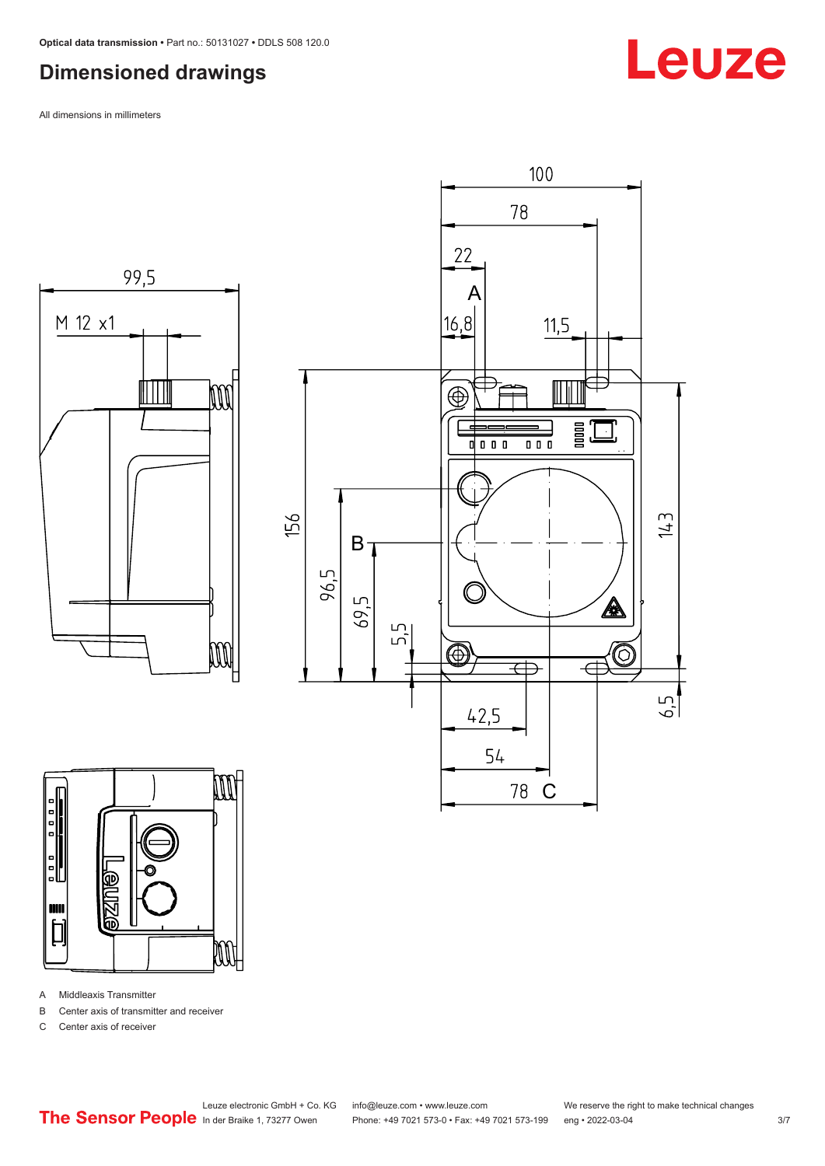## <span id="page-2-0"></span>**Dimensioned drawings**

All dimensions in millimeters







- A Middleaxis Transmitter
- B Center axis of transmitter and receiver
- C Center axis of receiver

Leuze

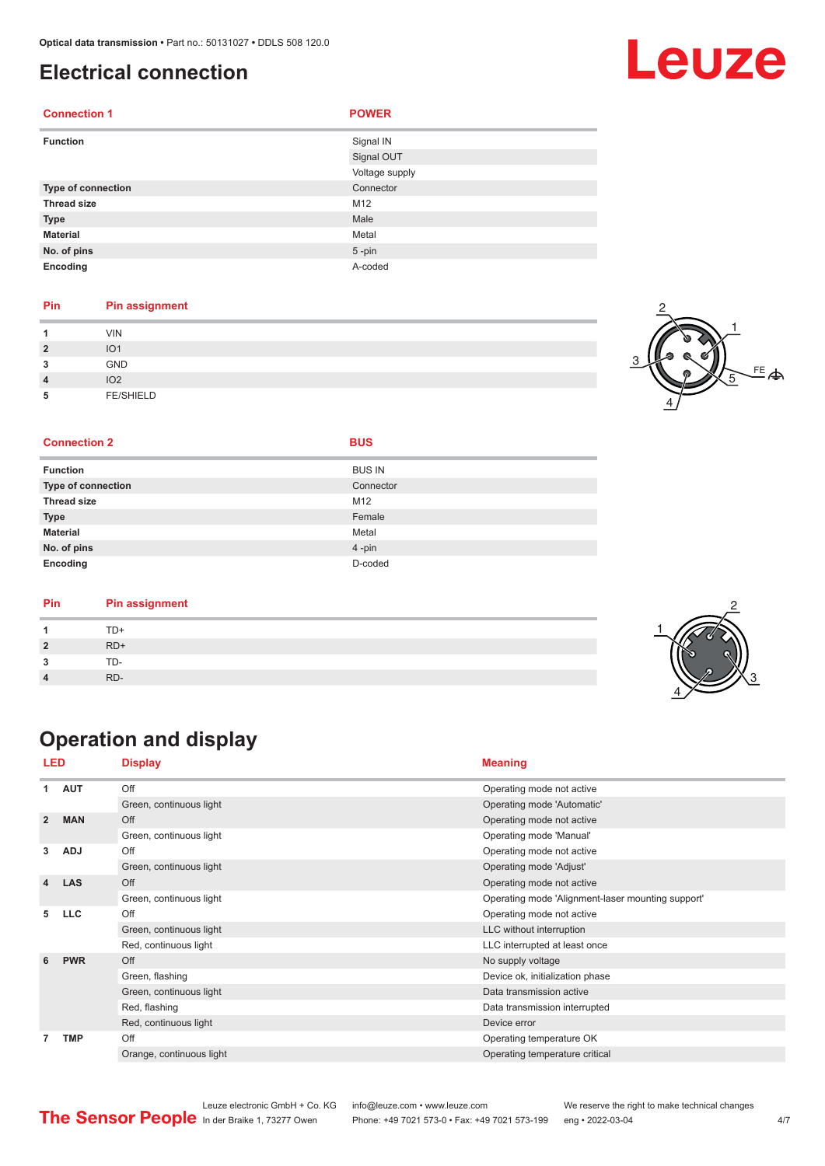## <span id="page-3-0"></span>**Electrical connection**

| <b>Connection 1</b> | <b>POWER</b>   |
|---------------------|----------------|
| <b>Function</b>     | Signal IN      |
|                     | Signal OUT     |
|                     | Voltage supply |
| Type of connection  | Connector      |
| <b>Thread size</b>  | M12            |
| <b>Type</b>         | Male           |
| <b>Material</b>     | Metal          |
| No. of pins         | $5$ -pin       |
| Encoding            | A-coded        |

### **Pin Pin assignment**

| и              | <b>VIN</b>       |  |
|----------------|------------------|--|
| $\overline{2}$ | IO <sub>1</sub>  |  |
| 3              | <b>GND</b>       |  |
| $\overline{4}$ | IO <sub>2</sub>  |  |
| 5              | <b>FE/SHIELD</b> |  |



### **Connection 2 BUS**

|  |  | I |
|--|--|---|
|  |  |   |

| <b>Function</b>           | <b>BUS IN</b> |
|---------------------------|---------------|
| <b>Type of connection</b> | Connector     |
| <b>Thread size</b>        | M12           |
| <b>Type</b>               | Female        |
| <b>Material</b>           | Metal         |
| No. of pins               | 4-pin         |
| Encoding                  | D-coded       |

| Pin | <b>Pin assignment</b> |  |
|-----|-----------------------|--|
|     | TD+                   |  |
|     | $RD+$                 |  |
|     | TD-                   |  |
|     | RD-                   |  |

## **Operation and display**

| LED                     |            | <b>Display</b>           | <b>Meaning</b>                                    |
|-------------------------|------------|--------------------------|---------------------------------------------------|
| 1                       | <b>AUT</b> | Off                      | Operating mode not active                         |
|                         |            | Green, continuous light  | Operating mode 'Automatic'                        |
| $\overline{2}$          | <b>MAN</b> | Off                      | Operating mode not active                         |
|                         |            | Green, continuous light  | Operating mode 'Manual'                           |
| 3                       | <b>ADJ</b> | Off                      | Operating mode not active                         |
|                         |            | Green, continuous light  | Operating mode 'Adjust'                           |
| $\overline{\mathbf{4}}$ | <b>LAS</b> | Off                      | Operating mode not active                         |
|                         |            | Green, continuous light  | Operating mode 'Alignment-laser mounting support' |
| 5                       | <b>LLC</b> | Off                      | Operating mode not active                         |
|                         |            | Green, continuous light  | LLC without interruption                          |
|                         |            | Red, continuous light    | LLC interrupted at least once                     |
| 6                       | <b>PWR</b> | Off                      | No supply voltage                                 |
|                         |            | Green, flashing          | Device ok, initialization phase                   |
|                         |            | Green, continuous light  | Data transmission active                          |
|                         |            | Red, flashing            | Data transmission interrupted                     |
|                         |            | Red, continuous light    | Device error                                      |
| 7                       | <b>TMP</b> | Off                      | Operating temperature OK                          |
|                         |            | Orange, continuous light | Operating temperature critical                    |

|                                                      | Leuze electronic GmbH + Co. KG info@leuze.com • www.leuze.com  | We reserve the right to make technical changes |     |
|------------------------------------------------------|----------------------------------------------------------------|------------------------------------------------|-----|
| <b>The Sensor People</b> In der Braike 1, 73277 Owen | Phone: +49 7021 573-0 • Fax: +49 7021 573-199 eng • 2022-03-04 |                                                | 4/7 |

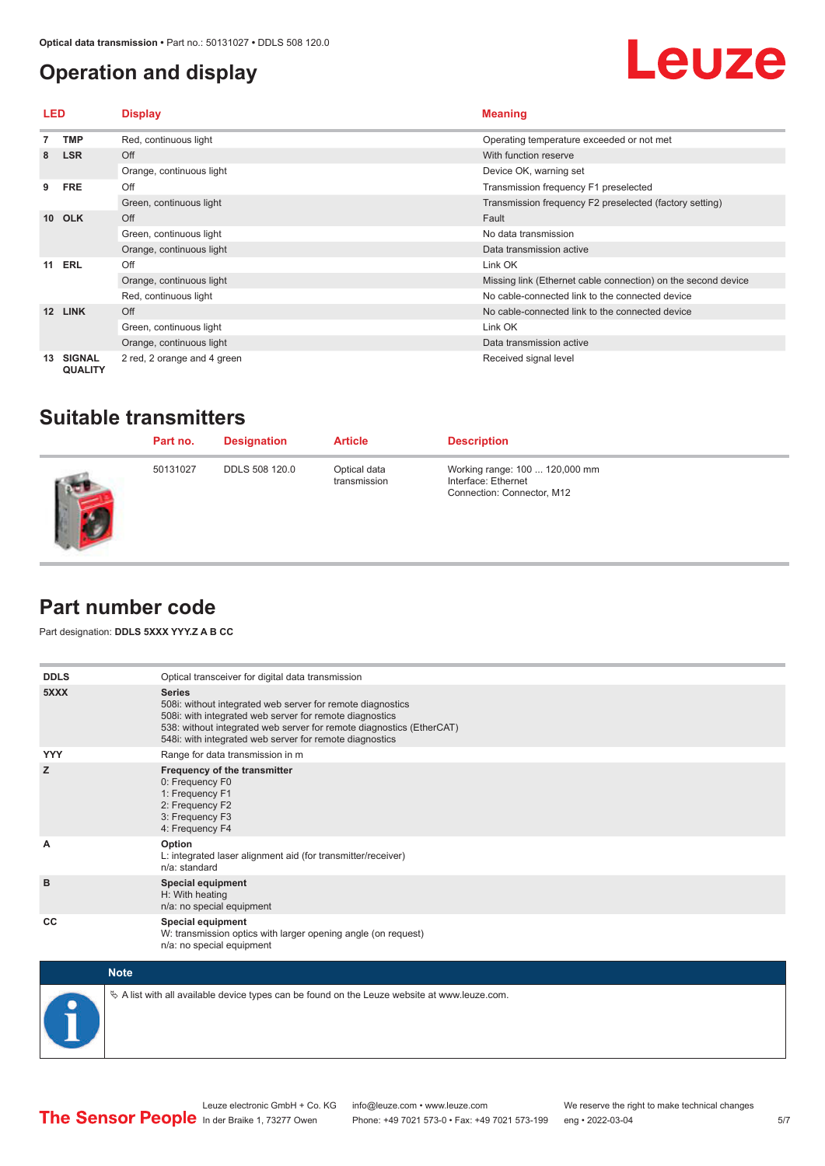## <span id="page-4-0"></span>**Operation and display**



| LED             |                                 | <b>Display</b>              | <b>Meaning</b>                                                |
|-----------------|---------------------------------|-----------------------------|---------------------------------------------------------------|
|                 | <b>TMP</b>                      | Red, continuous light       | Operating temperature exceeded or not met                     |
| 8               | <b>LSR</b>                      | Off                         | With function reserve                                         |
|                 |                                 | Orange, continuous light    | Device OK, warning set                                        |
| 9               | <b>FRE</b>                      | Off                         | Transmission frequency F1 preselected                         |
|                 |                                 | Green, continuous light     | Transmission frequency F2 preselected (factory setting)       |
| 10 <sup>1</sup> | <b>OLK</b>                      | Off                         | Fault                                                         |
|                 |                                 | Green, continuous light     | No data transmission                                          |
|                 |                                 | Orange, continuous light    | Data transmission active                                      |
| 11              | ERL                             | Off                         | Link OK                                                       |
|                 |                                 | Orange, continuous light    | Missing link (Ethernet cable connection) on the second device |
|                 |                                 | Red, continuous light       | No cable-connected link to the connected device               |
| 12              | <b>LINK</b>                     | Off                         | No cable-connected link to the connected device               |
|                 |                                 | Green, continuous light     | Link OK                                                       |
|                 |                                 | Orange, continuous light    | Data transmission active                                      |
| 13              | <b>SIGNAL</b><br><b>QUALITY</b> | 2 red, 2 orange and 4 green | Received signal level                                         |

## **Suitable transmitters**

| Part no. | <b>Designation</b>    | <b>Article</b>               | <b>Description</b>                                                                  |
|----------|-----------------------|------------------------------|-------------------------------------------------------------------------------------|
| 50131027 | <b>DDLS 508 120.0</b> | Optical data<br>transmission | Working range: 100  120,000 mm<br>Interface: Ethernet<br>Connection: Connector, M12 |

## **Part number code**

**STATE** 

Part designation: **DDLS 5XXX YYY.Z A B CC**

| <b>DDLS</b> | Optical transceiver for digital data transmission                                                                                                                                                                                                                         |
|-------------|---------------------------------------------------------------------------------------------------------------------------------------------------------------------------------------------------------------------------------------------------------------------------|
| 5XXX        | <b>Series</b><br>508i: without integrated web server for remote diagnostics<br>508i: with integrated web server for remote diagnostics<br>538: without integrated web server for remote diagnostics (EtherCAT)<br>548i: with integrated web server for remote diagnostics |
| <b>YYY</b>  | Range for data transmission in m                                                                                                                                                                                                                                          |
| z           | Frequency of the transmitter<br>0: Frequency F0<br>1: Frequency F1<br>2: Frequency F2<br>3: Frequency F3<br>4: Frequency F4                                                                                                                                               |
| A           | Option<br>L: integrated laser alignment aid (for transmitter/receiver)<br>n/a: standard                                                                                                                                                                                   |
| B           | <b>Special equipment</b><br>H: With heating<br>n/a: no special equipment                                                                                                                                                                                                  |
| CC          | Special equipment<br>W: transmission optics with larger opening angle (on request)<br>n/a: no special equipment                                                                                                                                                           |
| <b>Note</b> |                                                                                                                                                                                                                                                                           |



 $\&$  A list with all available device types can be found on the Leuze website at www.leuze.com.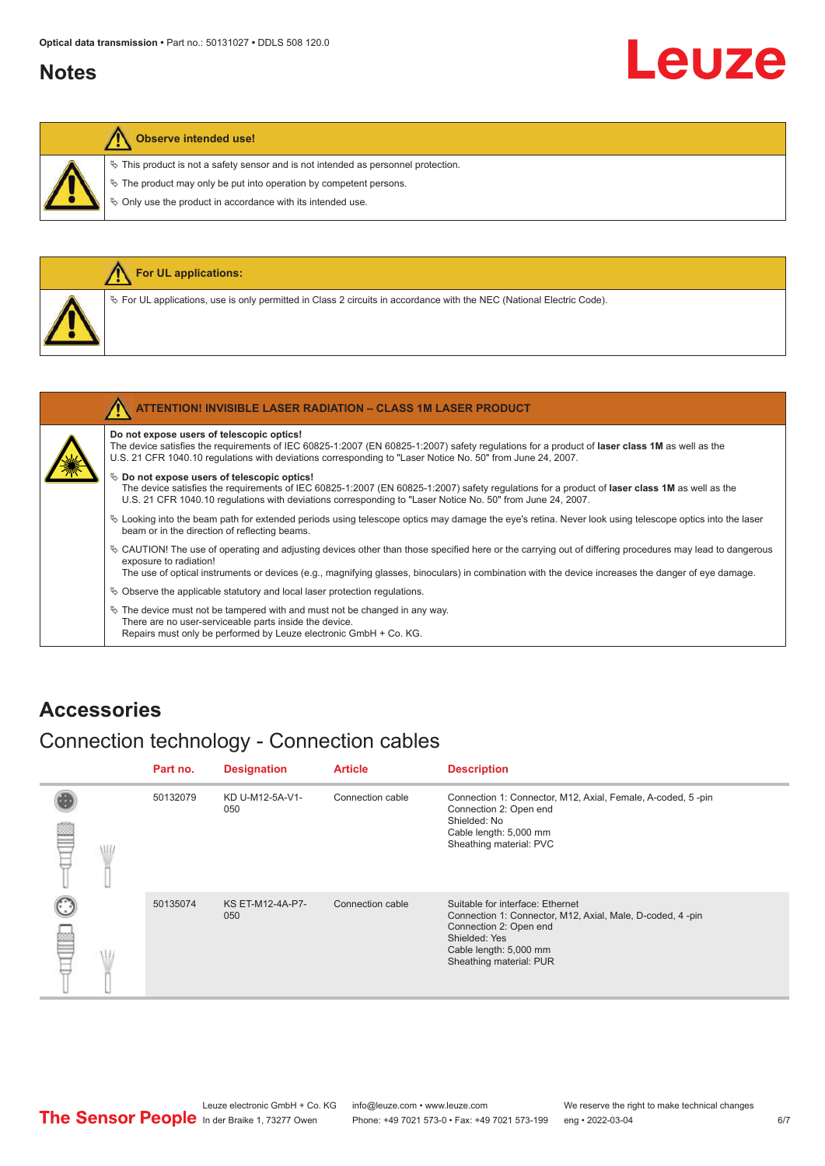## <span id="page-5-0"></span>**Notes**

# Leuze

### **Observe intended use!**

 $\%$  This product is not a safety sensor and is not intended as personnel protection.

 $\&$  The product may only be put into operation by competent persons.

 $\%$  Only use the product in accordance with its intended use.

|  | <b>For UL applications:</b>                                                                                                       |
|--|-----------------------------------------------------------------------------------------------------------------------------------|
|  | Vertal Code). For UL applications, use is only permitted in Class 2 circuits in accordance with the NEC (National Electric Code). |
|  |                                                                                                                                   |
|  | <b>ATTENTION! INVISIBLE LASER RADIATION - CLASS 1M LASER PRODUCT</b>                                                              |

### **Do not expose users of telescopic optics!**

The device satisfies the requirements of IEC 60825-1:2007 (EN 60825-1:2007) safety regulations for a product of **laser class 1M** as well as the U.S. 21 CFR 1040.10 regulations with deviations corresponding to "Laser Notice No. 50" from June 24, 2007.

#### $\%$  Do not expose users of telescopic optics!

The device satisfies the requirements of IEC 60825-1:2007 (EN 60825-1:2007) safety regulations for a product of **laser class 1M** as well as the U.S. 21 CFR 1040.10 regulations with deviations corresponding to "Laser Notice No. 50" from June 24, 2007.

- ª Looking into the beam path for extended periods using telescope optics may damage the eye's retina. Never look using telescope optics into the laser beam or in the direction of reflecting beams.
- ª CAUTION! The use of operating and adjusting devices other than those specified here or the carrying out of differing procedures may lead to dangerous exposure to radiation!

The use of optical instruments or devices (e.g., magnifying glasses, binoculars) in combination with the device increases the danger of eye damage.

 $\&$  Observe the applicable statutory and local laser protection regulations.

 $\%$  The device must not be tampered with and must not be changed in any way. There are no user-serviceable parts inside the device. Repairs must only be performed by Leuze electronic GmbH + Co. KG.

### **Accessories**

## Connection technology - Connection cables

|   |     | Part no. | <b>Designation</b>      | <b>Article</b>   | <b>Description</b>                                                                                                                                                                            |
|---|-----|----------|-------------------------|------------------|-----------------------------------------------------------------------------------------------------------------------------------------------------------------------------------------------|
| ≝ | WID | 50132079 | KD U-M12-5A-V1-<br>050  | Connection cable | Connection 1: Connector, M12, Axial, Female, A-coded, 5-pin<br>Connection 2: Open end<br>Shielded: No<br>Cable length: 5,000 mm<br>Sheathing material: PVC                                    |
|   |     | 50135074 | KS ET-M12-4A-P7-<br>050 | Connection cable | Suitable for interface: Ethernet<br>Connection 1: Connector, M12, Axial, Male, D-coded, 4-pin<br>Connection 2: Open end<br>Shielded: Yes<br>Cable length: 5,000 mm<br>Sheathing material: PUR |